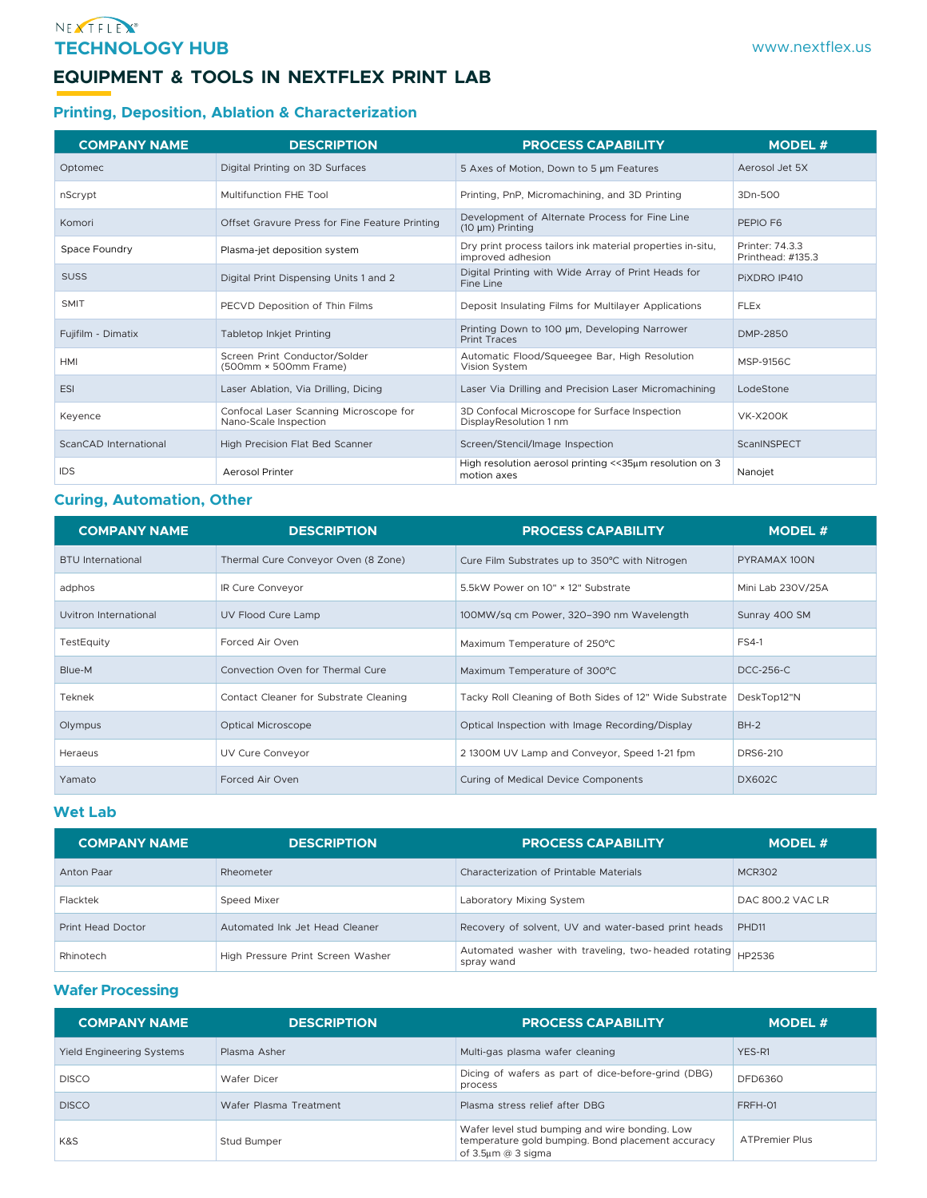### NEXTELEX **TECHNOLOGY HUB**

# **EQUIPMENT & TOOLS IN NEXTFLEX PRINT LAB**

## **Printing, Deposition, Ablation & Characterization**

| <b>COMPANY NAME</b>   | <b>DESCRIPTION</b>                                              | <b>PROCESS CAPABILITY</b>                                                       | <b>MODEL#</b>                        |
|-----------------------|-----------------------------------------------------------------|---------------------------------------------------------------------------------|--------------------------------------|
| Optomec               | Digital Printing on 3D Surfaces                                 | 5 Axes of Motion, Down to 5 um Features                                         | Aerosol Jet 5X                       |
| nScrypt               | Multifunction FHE Tool                                          | Printing, PnP, Micromachining, and 3D Printing                                  | 3Dn-500                              |
| Komori                | Offset Gravure Press for Fine Feature Printing                  | Development of Alternate Process for Fine Line<br>$(10 \mu m)$ Printing         | PEPIO F6                             |
| Space Foundry         | Plasma-jet deposition system                                    | Dry print process tailors ink material properties in-situ,<br>improved adhesion | Printer: 74.3.3<br>Printhead: #135.3 |
| <b>SUSS</b>           | Digital Print Dispensing Units 1 and 2                          | Digital Printing with Wide Array of Print Heads for<br>Fine Line                | PIXDRO IP410                         |
| <b>SMIT</b>           | PECVD Deposition of Thin Films                                  | Deposit Insulating Films for Multilayer Applications                            | <b>FLEx</b>                          |
| Fujifilm - Dimatix    | <b>Tabletop Inkjet Printing</b>                                 | Printing Down to 100 um, Developing Narrower<br><b>Print Traces</b>             | DMP-2850                             |
| <b>HMI</b>            | Screen Print Conductor/Solder<br>(500mm × 500mm Frame)          | Automatic Flood/Squeegee Bar, High Resolution<br>Vision System                  | MSP-9156C                            |
| <b>ESI</b>            | Laser Ablation, Via Drilling, Dicing                            | Laser Via Drilling and Precision Laser Micromachining                           | LodeStone                            |
| Keyence               | Confocal Laser Scanning Microscope for<br>Nano-Scale Inspection | 3D Confocal Microscope for Surface Inspection<br>DisplayResolution 1 nm         | <b>VK-X200K</b>                      |
| ScanCAD International | High Precision Flat Bed Scanner                                 | Screen/Stencil/Image Inspection                                                 | ScanINSPECT                          |
| <b>IDS</b>            | <b>Aerosol Printer</b>                                          | High resolution aerosol printing << 35µm resolution on 3<br>motion axes         | Nanojet                              |

## **Curing, Automation, Other**

| <b>COMPANY NAME</b>      | <b>DESCRIPTION</b>                     | <b>PROCESS CAPABILITY</b>                               | <b>MODEL#</b>     |
|--------------------------|----------------------------------------|---------------------------------------------------------|-------------------|
| <b>BTU</b> International | Thermal Cure Conveyor Oven (8 Zone)    | Cure Film Substrates up to 350°C with Nitrogen          | PYRAMAX 100N      |
| adphos                   | IR Cure Conveyor                       | 5.5kW Power on 10" × 12" Substrate                      | Mini Lab 230V/25A |
| Uvitron International    | UV Flood Cure Lamp                     | 100MW/sq cm Power, 320-390 nm Wavelength                | Sunray 400 SM     |
| TestEquity               | Forced Air Oven                        | Maximum Temperature of 250°C                            | <b>FS4-1</b>      |
| Blue-M                   | Convection Oven for Thermal Cure       | Maximum Temperature of 300°C                            | DCC-256-C         |
| Teknek                   | Contact Cleaner for Substrate Cleaning | Tacky Roll Cleaning of Both Sides of 12" Wide Substrate | DeskTop12"N       |
| Olympus                  | Optical Microscope                     | Optical Inspection with Image Recording/Display         | $BH-2$            |
| Heraeus                  | UV Cure Conveyor                       | 2 1300M UV Lamp and Conveyor, Speed 1-21 fpm            | DRS6-210          |
| Yamato                   | Forced Air Oven                        | Curing of Medical Device Components                     | <b>DX602C</b>     |

#### **Wet Lab**

| <b>COMPANY NAME</b> | <b>DESCRIPTION</b>                | <b>PROCESS CAPABILITY</b>                                          | <b>MODEL #</b>    |
|---------------------|-----------------------------------|--------------------------------------------------------------------|-------------------|
| Anton Paar          | Rheometer                         | Characterization of Printable Materials                            | <b>MCR302</b>     |
| Flacktek            | Speed Mixer                       | Laboratory Mixing System                                           | DAC 800.2 VAC LR  |
| Print Head Doctor   | Automated Ink Jet Head Cleaner    | Recovery of solvent, UV and water-based print heads                | PHD <sub>11</sub> |
| Rhinotech           | High Pressure Print Screen Washer | Automated washer with traveling, two-headed rotating<br>spray wand | HP2536            |

## **Wafer Processing**

| <b>COMPANY NAME</b>              | <b>DESCRIPTION</b>     | <b>PROCESS CAPABILITY</b>                                                                                                 | <b>MODEL #</b>        |
|----------------------------------|------------------------|---------------------------------------------------------------------------------------------------------------------------|-----------------------|
| <b>Yield Engineering Systems</b> | Plasma Asher           | Multi-gas plasma wafer cleaning                                                                                           | YES-R1                |
| <b>DISCO</b>                     | Wafer Dicer            | Dicing of wafers as part of dice-before-grind (DBG)<br>process                                                            | <b>DFD6360</b>        |
| <b>DISCO</b>                     | Wafer Plasma Treatment | Plasma stress relief after DBG                                                                                            | FRFH-01               |
| K&S                              | Stud Bumper            | Wafer level stud bumping and wire bonding. Low<br>temperature gold bumping. Bond placement accuracy<br>of 3.5µm @ 3 sigma | <b>ATPremier Plus</b> |